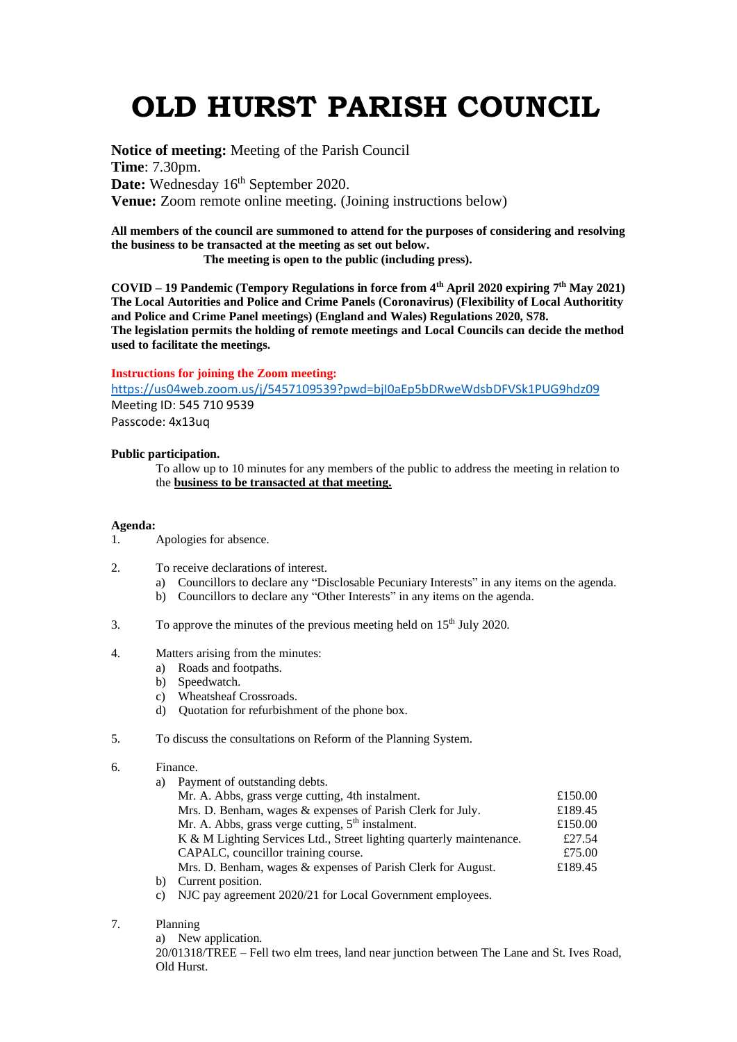# **OLD HURST PARISH COUNCIL**

**Notice of meeting:** Meeting of the Parish Council **Time**: 7.30pm. Date: Wednesday 16<sup>th</sup> September 2020. **Venue:** Zoom remote online meeting. (Joining instructions below)

**All members of the council are summoned to attend for the purposes of considering and resolving the business to be transacted at the meeting as set out below.**

 **The meeting is open to the public (including press).**

**COVID – 19 Pandemic (Tempory Regulations in force from 4th April 2020 expiring 7 th May 2021) The Local Autorities and Police and Crime Panels (Coronavirus) (Flexibility of Local Authoritity and Police and Crime Panel meetings) (England and Wales) Regulations 2020, S78. The legislation permits the holding of remote meetings and Local Councils can decide the method used to facilitate the meetings.** 

#### **Instructions for joining the Zoom meeting:**

<https://us04web.zoom.us/j/5457109539?pwd=bjI0aEp5bDRweWdsbDFVSk1PUG9hdz09> Meeting ID: 545 710 9539

Passcode: 4x13uq

# **Public participation.**

To allow up to 10 minutes for any members of the public to address the meeting in relation to the **business to be transacted at that meeting.** 

# **Agenda:**

- 1. Apologies for absence.
- 2. To receive declarations of interest.
	- a) Councillors to declare any "Disclosable Pecuniary Interests" in any items on the agenda.
	- b) Councillors to declare any "Other Interests" in any items on the agenda.
- 3. To approve the minutes of the previous meeting held on  $15<sup>th</sup>$  July 2020.
- 4. Matters arising from the minutes:
	- a) Roads and footpaths.
	- b) Speedwatch.
	- c) Wheatsheaf Crossroads.
	- d) Quotation for refurbishment of the phone box.
- 5. To discuss the consultations on Reform of the Planning System.

# 6. Finance.

| a) | Payment of outstanding debts.                                        |         |
|----|----------------------------------------------------------------------|---------|
|    | Mr. A. Abbs, grass verge cutting, 4th instalment.                    | £150.00 |
|    | Mrs. D. Benham, wages & expenses of Parish Clerk for July.           | £189.45 |
|    | Mr. A. Abbs, grass verge cutting, $5th$ instalment.                  | £150.00 |
|    | K & M Lighting Services Ltd., Street lighting quarterly maintenance. | £27.54  |
|    | CAPALC, councillor training course.                                  | £75.00  |
|    | Mrs. D. Benham, wages & expenses of Parish Clerk for August.         | £189.45 |
| b) | Current position.                                                    |         |

- c) NJC pay agreement 2020/21 for Local Government employees.
- 7. Planning

a) New application.

20/01318/TREE – Fell two elm trees, land near junction between The Lane and St. Ives Road, Old Hurst.